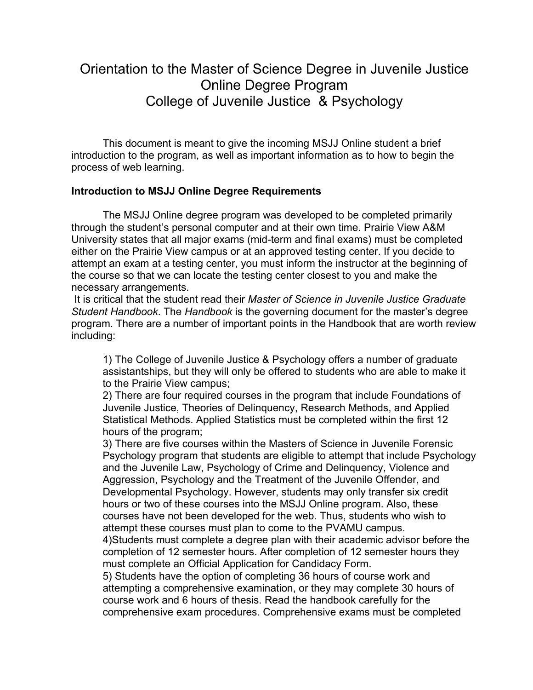## Orientation to the Master of Science Degree in Juvenile Justice Online Degree Program College of Juvenile Justice & Psychology

This document is meant to give the incoming MSJJ Online student a brief introduction to the program, as well as important information as to how to begin the process of web learning.

## **Introduction to MSJJ Online Degree Requirements**

The MSJJ Online degree program was developed to be completed primarily through the student's personal computer and at their own time. Prairie View A&M University states that all major exams (mid-term and final exams) must be completed either on the Prairie View campus or at an approved testing center. If you decide to attempt an exam at a testing center, you must inform the instructor at the beginning of the course so that we can locate the testing center closest to you and make the necessary arrangements.

 It is critical that the student read their *Master of Science in Juvenile Justice Graduate Student Handbook*. The *Handbook* is the governing document for the master's degree program. There are a number of important points in the Handbook that are worth review including:

 1) The College of Juvenile Justice & Psychology offers a number of graduate assistantships, but they will only be offered to students who are able to make it to the Prairie View campus;

 2) There are four required courses in the program that include Foundations of Juvenile Justice, Theories of Delinquency, Research Methods, and Applied Statistical Methods. Applied Statistics must be completed within the first 12 hours of the program;

 3) There are five courses within the Masters of Science in Juvenile Forensic Psychology program that students are eligible to attempt that include Psychology and the Juvenile Law, Psychology of Crime and Delinquency, Violence and Aggression, Psychology and the Treatment of the Juvenile Offender, and Developmental Psychology. However, students may only transfer six credit hours or two of these courses into the MSJJ Online program. Also, these courses have not been developed for the web. Thus, students who wish to attempt these courses must plan to come to the PVAMU campus.

 4)Students must complete a degree plan with their academic advisor before the completion of 12 semester hours. After completion of 12 semester hours they must complete an Official Application for Candidacy Form.

 5) Students have the option of completing 36 hours of course work and attempting a comprehensive examination, or they may complete 30 hours of course work and 6 hours of thesis. Read the handbook carefully for the comprehensive exam procedures. Comprehensive exams must be completed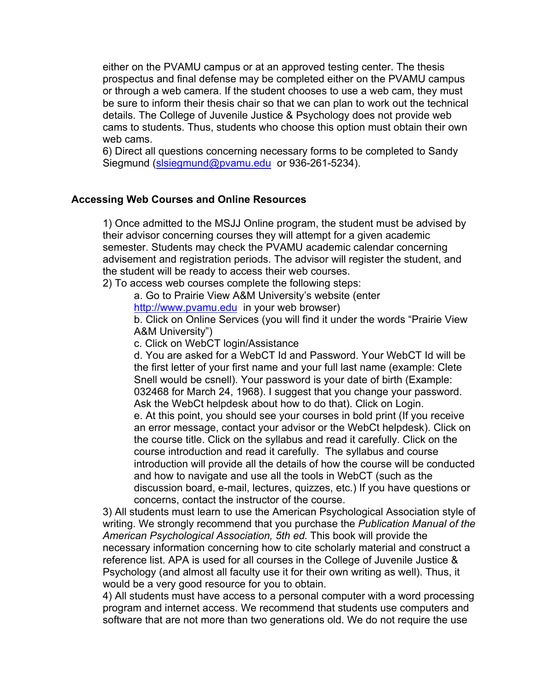either on the PVAMU campus or at an approved testing center. The thesis prospectus and final defense may be completed either on the PVAMU campus or through a web camera. If the student chooses to use a web cam, they must be sure to inform their thesis chair so that we can plan to work out the technical details. The College of Juvenile Justice & Psychology does not provide web cams to students. Thus, students who choose this option must obtain their own web cams.

 6) Direct all questions concerning necessary forms to be completed to Sandy Siegmund [\(slsiegmund@pvamu.edu](mailto:slsiegmund@pvamu.edu) or 936-261-5234).

## **Accessing Web Courses and Online Resources**

 1) Once admitted to the MSJJ Online program, the student must be advised by their advisor concerning courses they will attempt for a given academic semester. Students may check the PVAMU academic calendar concerning advisement and registration periods. The advisor will register the student, and the student will be ready to access their web courses.

2) To access web courses complete the following steps:

a. Go to Prairie View A&M University's website (enter

[http://www.pvamu.edu](http://www.pvamu.edu/) in your web browser)

 b. Click on Online Services (you will find it under the words "Prairie View A&M University")

c. Click on WebCT login/Assistance

 d. You are asked for a WebCT Id and Password. Your WebCT Id will be the first letter of your first name and your full last name (example: Clete Snell would be csnell). Your password is your date of birth (Example: 032468 for March 24, 1968). I suggest that you change your password. Ask the WebCt helpdesk about how to do that). Click on Login. e. At this point, you should see your courses in bold print (If you receive an error message, contact your advisor or the WebCt helpdesk). Click on the course title. Click on the syllabus and read it carefully. Click on the course introduction and read it carefully. The syllabus and course introduction will provide all the details of how the course will be conducted and how to navigate and use all the tools in WebCT (such as the discussion board, e-mail, lectures, quizzes, etc.) If you have questions or concerns, contact the instructor of the course.

 3) All students must learn to use the American Psychological Association style of writing. We strongly recommend that you purchase the *Publication Manual of the American Psychological Association, 5th ed.* This book will provide the necessary information concerning how to cite scholarly material and construct a reference list. APA is used for all courses in the College of Juvenile Justice & Psychology (and almost all faculty use it for their own writing as well). Thus, it would be a very good resource for you to obtain.

 4) All students must have access to a personal computer with a word processing program and internet access. We recommend that students use computers and software that are not more than two generations old. We do not require the use